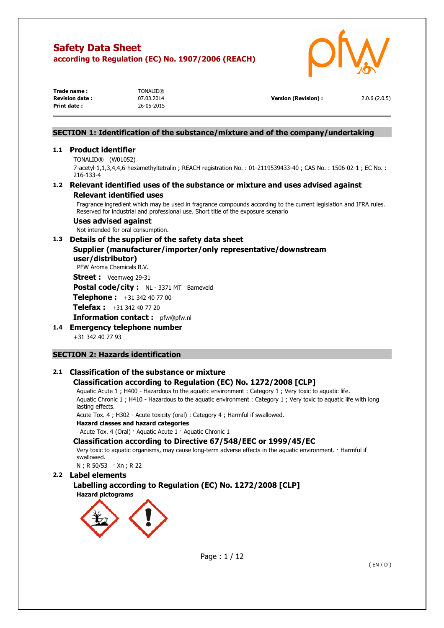

| Trade name:            | <b>TONALID®</b> |                      |              |
|------------------------|-----------------|----------------------|--------------|
| <b>Revision date :</b> | 07.03.2014      | Version (Revision) : | 2.0.6(2.0.5) |
| Print date:            | 26-05-2015      |                      |              |

## **SECTION 1: Identification of the substance/mixture and of the company/undertaking**

### **1.1 Product identifier**

TONALID® (W01052) 7-acetyl-1,1,3,4,4,6-hexamethyltetralin ; REACH registration No. : 01-2119539433-40 ; CAS No. : 1506-02-1 ; EC No. : 216-133-4

## **1.2 Relevant identified uses of the substance or mixture and uses advised against Relevant identified uses**

Fragrance ingredient which may be used in fragrance compounds according to the current legislation and IFRA rules. Reserved for industrial and professional use. Short title of the exposure scenario

### **Uses advised against**

Not intended for oral consumption.

## **1.3 Details of the supplier of the safety data sheet**

## **Supplier (manufacturer/importer/only representative/downstream user/distributor)**

PFW Aroma Chemicals B.V.

**Street :** Veemweg 29-31

Postal code/city : NL - 3371 MT Barneveld

**Telephone :** +31 342 40 77 00

**Telefax :** +31 342 40 77 20

**Information contact :** pfw@pfw.nl

**1.4 Emergency telephone number** 

+31 342 40 77 93

## **SECTION 2: Hazards identification**

## **2.1 Classification of the substance or mixture**

## **Classification according to Regulation (EC) No. 1272/2008 [CLP]**

Aquatic Acute 1 ; H400 - Hazardous to the aquatic environment : Category 1 ; Very toxic to aquatic life. Aquatic Chronic 1 ; H410 - Hazardous to the aquatic environment : Category 1 ; Very toxic to aquatic life with long lasting effects.

Acute Tox. 4 ; H302 - Acute toxicity (oral) : Category 4 ; Harmful if swallowed.

**Hazard classes and hazard categories** 

Acute Tox. 4 (Oral) · Aquatic Acute 1 · Aquatic Chronic 1

### **Classification according to Directive 67/548/EEC or 1999/45/EC**

Very toxic to aquatic organisms, may cause long-term adverse effects in the aquatic environment. · Harmful if swallowed.

N ; R 50/53 · Xn ; R 22

### **2.2 Label elements**

 **Labelling according to Regulation (EC) No. 1272/2008 [CLP] Hazard pictograms** 



Page : 1 / 12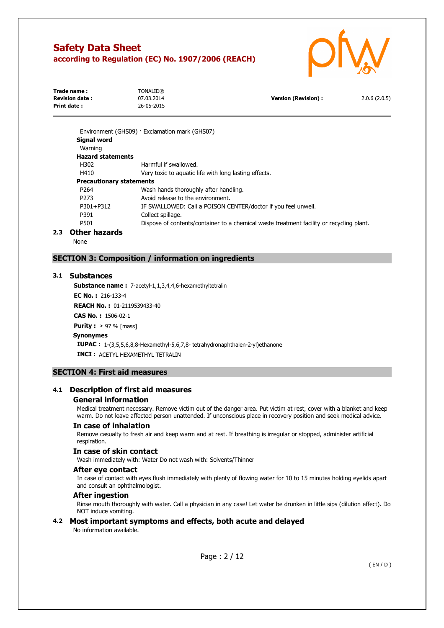

| Trade name:           | TONALID®   |                      |              |
|-----------------------|------------|----------------------|--------------|
| <b>Revision date:</b> | 07.03.2014 | Version (Revision) : | 2.0.6(2.0.5) |
| Print date :          | 26-05-2015 |                      |              |
|                       |            |                      |              |

|     |                                 | Environment (GHS09) · Exclamation mark (GHS07)                                           |
|-----|---------------------------------|------------------------------------------------------------------------------------------|
|     | <b>Signal word</b>              |                                                                                          |
|     | Warning                         |                                                                                          |
|     | <b>Hazard statements</b>        |                                                                                          |
|     | H302                            | Harmful if swallowed.                                                                    |
|     | H410                            | Very toxic to aquatic life with long lasting effects.                                    |
|     | <b>Precautionary statements</b> |                                                                                          |
|     | P <sub>264</sub>                | Wash hands thoroughly after handling.                                                    |
|     | P273                            | Avoid release to the environment.                                                        |
|     | P301+P312                       | IF SWALLOWED: Call a POISON CENTER/doctor if you feel unwell.                            |
|     | P391                            | Collect spillage.                                                                        |
|     | P501                            | Dispose of contents/container to a chemical waste treatment facility or recycling plant. |
| 2.3 | Other hazards                   |                                                                                          |

None

## **SECTION 3: Composition / information on ingredients**

### **3.1 Substances**

**Substance name :** 7-acetyl-1,1,3,4,4,6-hexamethyltetralin

**EC No. :** 216-133-4

**REACH No. :** 01-2119539433-40

**CAS No. :** 1506-02-1

**Purity :** ≥ 97 % [mass]

### **Synonymes**

 **IUPAC :** 1-(3,5,5,6,8,8-Hexamethyl-5,6,7,8- tetrahydronaphthalen-2-yl)ethanone **INCI :** ACETYL HEXAMETHYL TETRALIN

### **SECTION 4: First aid measures**

### **4.1 Description of first aid measures**

### **General information**

Medical treatment necessary. Remove victim out of the danger area. Put victim at rest, cover with a blanket and keep warm. Do not leave affected person unattended. If unconscious place in recovery position and seek medical advice.

#### **In case of inhalation**

Remove casualty to fresh air and keep warm and at rest. If breathing is irregular or stopped, administer artificial respiration.

### **In case of skin contact**

Wash immediately with: Water Do not wash with: Solvents/Thinner

### **After eye contact**

In case of contact with eyes flush immediately with plenty of flowing water for 10 to 15 minutes holding eyelids apart and consult an ophthalmologist.

### **After ingestion**

Rinse mouth thoroughly with water. Call a physician in any case! Let water be drunken in little sips (dilution effect). Do NOT induce vomiting.

### **4.2 Most important symptoms and effects, both acute and delayed**

No information available.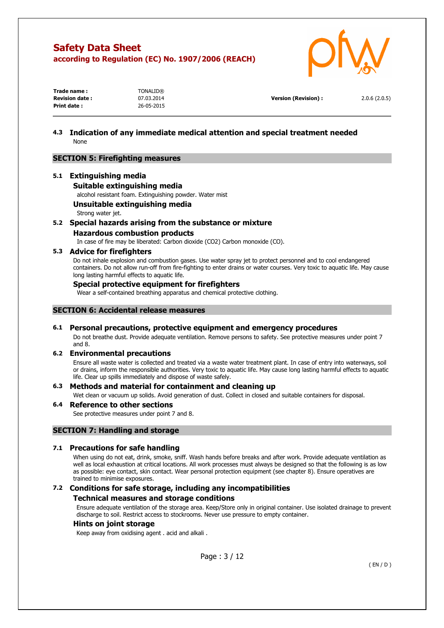

| Trade name:           | <b>TONALID®</b> |                      |              |
|-----------------------|-----------------|----------------------|--------------|
| <b>Revision date:</b> | 07.03.2014      | Version (Revision) : | 2.0.6(2.0.5) |
| Print date:           | 26-05-2015      |                      |              |

## **4.3 Indication of any immediate medical attention and special treatment needed**  None

### **SECTION 5: Firefighting measures**

### **5.1 Extinguishing media**

**Suitable extinguishing media** 

alcohol resistant foam. Extinguishing powder. Water mist

### **Unsuitable extinguishing media**

Strong water jet.

### **5.2 Special hazards arising from the substance or mixture**

**Hazardous combustion products** 

In case of fire may be liberated: Carbon dioxide (CO2) Carbon monoxide (CO).

### **5.3 Advice for firefighters**

Do not inhale explosion and combustion gases. Use water spray jet to protect personnel and to cool endangered containers. Do not allow run-off from fire-fighting to enter drains or water courses. Very toxic to aquatic life. May cause long lasting harmful effects to aquatic life.

### **Special protective equipment for firefighters**

Wear a self-contained breathing apparatus and chemical protective clothing.

### **SECTION 6: Accidental release measures**

### **6.1 Personal precautions, protective equipment and emergency procedures**

Do not breathe dust. Provide adequate ventilation. Remove persons to safety. See protective measures under point 7 and 8.

### **6.2 Environmental precautions**

Ensure all waste water is collected and treated via a waste water treatment plant. In case of entry into waterways, soil or drains, inform the responsible authorities. Very toxic to aquatic life. May cause long lasting harmful effects to aquatic life. Clear up spills immediately and dispose of waste safely.

### **6.3 Methods and material for containment and cleaning up**

Wet clean or vacuum up solids. Avoid generation of dust. Collect in closed and suitable containers for disposal.

## **6.4 Reference to other sections**

See protective measures under point 7 and 8.

### **SECTION 7: Handling and storage**

### **7.1 Precautions for safe handling**

When using do not eat, drink, smoke, sniff. Wash hands before breaks and after work. Provide adequate ventilation as well as local exhaustion at critical locations. All work processes must always be designed so that the following is as low as possible: eye contact, skin contact. Wear personal protection equipment (see chapter 8). Ensure operatives are trained to minimise exposures.

# **7.2 Conditions for safe storage, including any incompatibilities**

### **Technical measures and storage conditions**

Ensure adequate ventilation of the storage area. Keep/Store only in original container. Use isolated drainage to prevent discharge to soil. Restrict access to stockrooms. Never use pressure to empty container.

### **Hints on joint storage**

Keep away from oxidising agent . acid and alkali .

Page : 3 / 12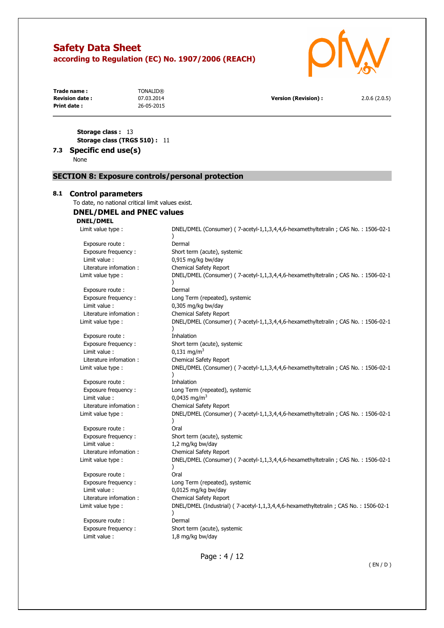

| Trade name:           | TONALID®   |                            |              |
|-----------------------|------------|----------------------------|--------------|
| <b>Revision date:</b> | 07.03.2014 | <b>Version (Revision):</b> | 2.0.6(2.0.5) |
| Print date:           | 26-05-2015 |                            |              |
|                       |            |                            |              |
|                       |            |                            |              |
|                       |            |                            |              |

**Storage class :** 13 **Storage class (TRGS 510) :** 11

## **7.3 Specific end use(s)**

None

### **SECTION 8: Exposure controls/personal protection**

### **8.1 Control parameters**

To date, no national critical limit values exist.

## **DNEL/DMEL and PNEC values**

### **DNEL/DMEL**

Exposure route : Dermal Limit value : 0,915 mg/kg bw/day

Exposure route : Dermal Limit value : 0,305 mg/kg bw/day

Exposure route : Thhalation Limit value :  $0.131 \text{ mg/m}^3$ Literature infomation : Chemical Safety Report

Exposure route : Inhalation<br>Exposure frequency : The Long Term Limit value :  $0.0435$  mg/m<sup>3</sup> Literature infomation : Chemical Safety Report

Exposure route : The Coral Limit value :  $1,2$  mg/kg bw/day Literature infomation : Chemical Safety Report

Exposure route : Call Oral Limit value : 0,0125 mg/kg bw/day Literature infomation : Chemical Safety Report

Exposure route : Dermal Limit value :  $1,8$  mg/kg bw/day

Limit value type : DNEL/DMEL (Consumer) ( 7-acetyl-1,1,3,4,4,6-hexamethyltetralin ; CAS No. : 1506-02-1  $\lambda$ Exposure frequency : Short term (acute), systemic Literature infomation : Chemical Safety Report Limit value type : DNEL/DMEL (Consumer) ( 7-acetyl-1,1,3,4,4,6-hexamethyltetralin ; CAS No. : 1506-02-1 ) Exposure frequency : Long Term (repeated), systemic Literature infomation : Chemical Safety Report Limit value type : DNEL/DMEL (Consumer) ( 7-acetyl-1,1,3,4,4,6-hexamethyltetralin ; CAS No. : 1506-02-1 ) Exposure frequency : Short term (acute), systemic Limit value type : DNEL/DMEL (Consumer) ( 7-acetyl-1,1,3,4,4,6-hexamethyltetralin ; CAS No. : 1506-02-1  $\lambda$ Long Term (repeated), systemic Limit value type : DNEL/DMEL (Consumer) ( 7-acetyl-1,1,3,4,4,6-hexamethyltetralin ; CAS No. : 1506-02-1 ) Exposure frequency : Short term (acute), systemic Limit value type : DNEL/DMEL (Consumer) ( 7-acetyl-1,1,3,4,4,6-hexamethyltetralin ; CAS No. : 1506-02-1 ) Exposure frequency : Long Term (repeated), systemic Limit value type : DNEL/DMEL (Industrial) ( 7-acetyl-1,1,3,4,4,6-hexamethyltetralin ; CAS No. : 1506-02-1 ) Exposure frequency : Short term (acute), systemic

Page : 4 / 12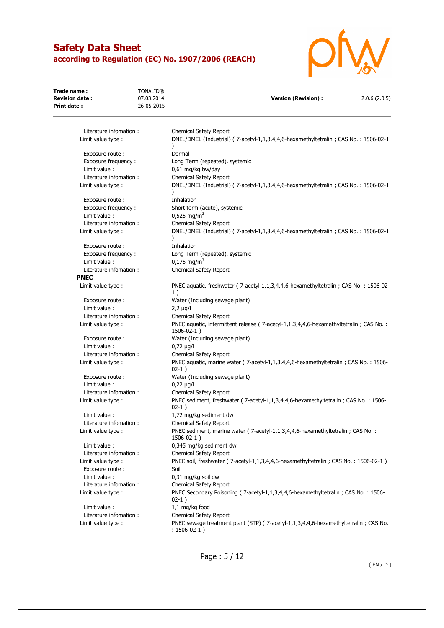

| Trade name:<br><b>Revision date:</b>  | <b>TONALID®</b><br>07.03.2014 | <b>Version (Revision):</b><br>2.0.6(2.0.5)                                                                |
|---------------------------------------|-------------------------------|-----------------------------------------------------------------------------------------------------------|
| Print date:                           | 26-05-2015                    |                                                                                                           |
| Literature infomation:                |                               | <b>Chemical Safety Report</b>                                                                             |
| Limit value type :                    |                               | DNEL/DMEL (Industrial) (7-acetyl-1,1,3,4,4,6-hexamethyltetralin; CAS No.: 1506-02-1                       |
| Exposure route:                       |                               | Dermal                                                                                                    |
| Exposure frequency:                   |                               | Long Term (repeated), systemic                                                                            |
| Limit value :                         |                               | 0,61 mg/kg bw/day                                                                                         |
| Literature infomation:                |                               | Chemical Safety Report                                                                                    |
| Limit value type :                    |                               | DNEL/DMEL (Industrial) (7-acetyl-1,1,3,4,4,6-hexamethyltetralin; CAS No.: 1506-02-1                       |
| Exposure route:                       |                               | Inhalation                                                                                                |
| Exposure frequency:                   |                               | Short term (acute), systemic                                                                              |
| Limit value :                         |                               | $0,525$ mg/m <sup>3</sup>                                                                                 |
| Literature infomation:                |                               | Chemical Safety Report                                                                                    |
| Limit value type :                    |                               | DNEL/DMEL (Industrial) (7-acetyl-1,1,3,4,4,6-hexamethyltetralin; CAS No.: 1506-02-1                       |
| Exposure route:                       |                               | Inhalation                                                                                                |
| Exposure frequency:                   |                               | Long Term (repeated), systemic                                                                            |
| Limit value :                         |                               | $0,175$ mg/m <sup>3</sup>                                                                                 |
| Literature infomation:<br><b>PNEC</b> |                               | Chemical Safety Report                                                                                    |
| Limit value type :                    |                               | PNEC aquatic, freshwater (7-acetyl-1,1,3,4,4,6-hexamethyltetralin; CAS No.: 1506-02-<br>1)                |
| Exposure route:                       |                               | Water (Including sewage plant)                                                                            |
| Limit value :                         |                               | $2,2 \mu g/l$                                                                                             |
| Literature infomation :               |                               | Chemical Safety Report                                                                                    |
| Limit value type :                    |                               | PNEC aquatic, intermittent release (7-acetyl-1,1,3,4,4,6-hexamethyltetralin; CAS No.:<br>$1506 - 02 - 1)$ |
| Exposure route:                       |                               | Water (Including sewage plant)                                                                            |
| Limit value :                         |                               | $0,72 \mu g/l$                                                                                            |
| Literature infomation:                |                               | Chemical Safety Report                                                                                    |
| Limit value type :                    |                               | PNEC aquatic, marine water (7-acetyl-1,1,3,4,4,6-hexamethyltetralin; CAS No.: 1506-<br>$02-1)$            |
| Exposure route:                       |                               | Water (Including sewage plant)                                                                            |
| Limit value :                         |                               | $0,22 \mu g/l$                                                                                            |
| Literature infomation:                |                               | Chemical Safety Report                                                                                    |
| Limit value type :                    |                               | PNEC sediment, freshwater (7-acetyl-1,1,3,4,4,6-hexamethyltetralin; CAS No.: 1506-<br>$02-1)$             |
| Limit value:                          |                               | 1,72 mg/kg sediment dw                                                                                    |
| Literature infomation:                |                               | Chemical Safety Report                                                                                    |
| Limit value type :                    |                               | PNEC sediment, marine water (7-acetyl-1,1,3,4,4,6-hexamethyltetralin; CAS No.:<br>1506-02-1)              |
| Limit value :                         |                               | 0,345 mg/kg sediment dw                                                                                   |
| Literature infomation:                |                               | <b>Chemical Safety Report</b>                                                                             |
| Limit value type :                    |                               | PNEC soil, freshwater (7-acetyl-1,1,3,4,4,6-hexamethyltetralin; CAS No.: 1506-02-1)                       |
| Exposure route :<br>Limit value :     |                               | Soil<br>0,31 mg/kg soil dw                                                                                |
| Literature infomation:                |                               | Chemical Safety Report                                                                                    |
| Limit value type :                    |                               | PNEC Secondary Poisoning (7-acetyl-1,1,3,4,4,6-hexamethyltetralin; CAS No.: 1506-<br>$02-1)$              |
| Limit value :                         |                               | 1,1 mg/kg food                                                                                            |
| Literature infomation:                |                               | Chemical Safety Report                                                                                    |
| Limit value type :                    |                               | PNEC sewage treatment plant (STP) (7-acetyl-1,1,3,4,4,6-hexamethyltetralin; CAS No.<br>$: 1506-02-1)$     |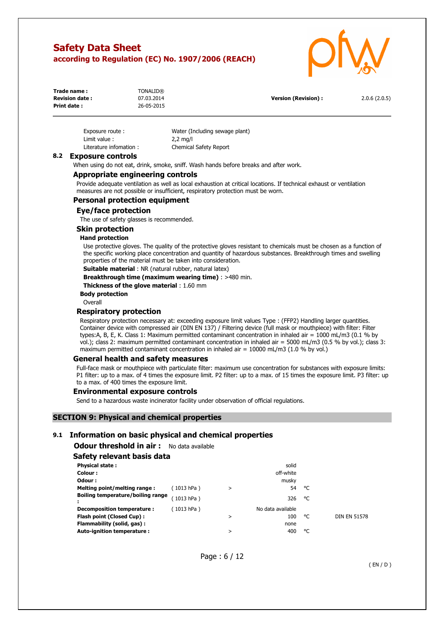

| Trade name:           | <b>TONALID®</b> |                            |              |
|-----------------------|-----------------|----------------------------|--------------|
| <b>Revision date:</b> | 07.03.2014      | <b>Version (Revision):</b> | 2.0.6(2.0.5) |
| Print date:           | 26-05-2015      |                            |              |

| Exposure route:        | Water (Including sewage plant) |
|------------------------|--------------------------------|
| Limit value:           | $2,2$ mg/l                     |
| Literature infomation: | <b>Chemical Safety Report</b>  |

### **8.2 Exposure controls**

When using do not eat, drink, smoke, sniff. Wash hands before breaks and after work.

### **Appropriate engineering controls**

Provide adequate ventilation as well as local exhaustion at critical locations. If technical exhaust or ventilation measures are not possible or insufficient, respiratory protection must be worn.

### **Personal protection equipment**

### **Eye/face protection**

The use of safety glasses is recommended.

### **Skin protection**

#### **Hand protection**

Use protective gloves. The quality of the protective gloves resistant to chemicals must be chosen as a function of the specific working place concentration and quantity of hazardous substances. Breakthrough times and swelling properties of the material must be taken into consideration.

**Suitable material** : NR (natural rubber, natural latex)

**Breakthrough time (maximum wearing time)** : >480 min.

**Thickness of the glove material** : 1.60 mm

**Body protection** 

**Overall** 

### **Respiratory protection**

Respiratory protection necessary at: exceeding exposure limit values Type : (FFP2) Handling larger quantities. Container device with compressed air (DIN EN 137) / Filtering device (full mask or mouthpiece) with filter: Filter types:A, B, E, K. Class 1: Maximum permitted contaminant concentration in inhaled air = 1000 mL/m3 (0.1 % by vol.); class 2: maximum permitted contaminant concentration in inhaled air = 5000 mL/m3 (0.5 % by vol.); class 3: maximum permitted contaminant concentration in inhaled air =  $10000$  mL/m3 (1.0 % by vol.)

### **General health and safety measures**

Full-face mask or mouthpiece with particulate filter: maximum use concentration for substances with exposure limits: P1 filter: up to a max. of 4 times the exposure limit. P2 filter: up to a max. of 15 times the exposure limit. P3 filter: up to a max. of 400 times the exposure limit.

### **Environmental exposure controls**

Send to a hazardous waste incinerator facility under observation of official regulations.

### **SECTION 9: Physical and chemical properties**

### **9.1 Information on basic physical and chemical properties**

**Odour threshold in air :** No data available

### **Safety relevant basis data**

| <b>Physical state:</b>            |            |   | solid             |    |                     |
|-----------------------------------|------------|---|-------------------|----|---------------------|
| Colour :                          |            |   | off-white         |    |                     |
| Odour:                            |            |   | musky             |    |                     |
| Melting point/melting range:      | (1013 hPa) | > | 54                | °C |                     |
| Boiling temperature/boiling range | 1013 hPa)  |   | 326               | °C |                     |
| Decomposition temperature :       | 1013 hPa)  |   | No data available |    |                     |
| Flash point (Closed Cup):         |            | > | 100               | °C | <b>DIN EN 51578</b> |
| Flammability (solid, gas):        |            |   | none              |    |                     |
| Auto-ignition temperature :       |            | > | 400               | ۰c |                     |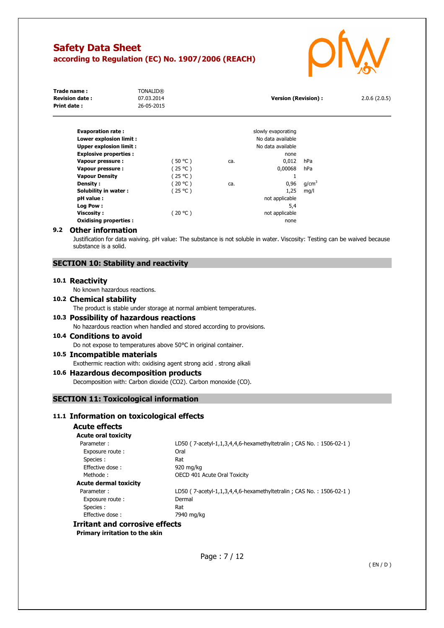

| Trade name:<br><b>Revision date:</b><br><b>Print date:</b> | <b>TONALID®</b><br>07.03.2014<br>26-05-2015 |           |     | <b>Version (Revision):</b> |                   | 2.0.6(2.0.5) |
|------------------------------------------------------------|---------------------------------------------|-----------|-----|----------------------------|-------------------|--------------|
| <b>Evaporation rate:</b>                                   |                                             |           |     | slowly evaporating         |                   |              |
| Lower explosion limit :                                    |                                             |           |     | No data available          |                   |              |
| <b>Upper explosion limit:</b>                              |                                             |           |     | No data available          |                   |              |
| <b>Explosive properties:</b>                               |                                             |           |     | none                       |                   |              |
| Vapour pressure :                                          |                                             | $50 °C$ ) | ca. | 0,012                      | hPa               |              |
| Vapour pressure :                                          |                                             | (25 °C)   |     | 0,00068                    | hPa               |              |
| <b>Vapour Density</b>                                      |                                             | (25 °C )  |     |                            |                   |              |
| Density:                                                   |                                             | (20 °C)   | ca. | 0,96                       | q/cm <sup>3</sup> |              |
| Solubility in water:                                       |                                             | (25 °C )  |     | 1,25                       | mq/l              |              |
| pH value :                                                 |                                             |           |     | not applicable             |                   |              |
| Log Pow:                                                   |                                             |           |     | 5,4                        |                   |              |
| Viscosity :                                                |                                             | (20 °C )  |     | not applicable             |                   |              |
| <b>Oxidising properties:</b>                               |                                             |           |     | none                       |                   |              |

### **9.2 Other information**

Justification for data waiving. pH value: The substance is not soluble in water. Viscosity: Testing can be waived because substance is a solid.

### **SECTION 10: Stability and reactivity**

### **10.1 Reactivity**

No known hazardous reactions.

### **10.2 Chemical stability**

The product is stable under storage at normal ambient temperatures.

## **10.3 Possibility of hazardous reactions**

No hazardous reaction when handled and stored according to provisions.

## **10.4 Conditions to avoid**

Do not expose to temperatures above 50°C in original container.

## **10.5 Incompatible materials**

Exothermic reaction with: oxidising agent strong acid . strong alkali

### **10.6 Hazardous decomposition products**

Decomposition with: Carbon dioxide (CO2). Carbon monoxide (CO).

### **SECTION 11: Toxicological information**

### **11.1 Information on toxicological effects**

## **Acute effects**

| <b>Acute oral toxicity</b>     |                                                                    |
|--------------------------------|--------------------------------------------------------------------|
| Parameter:                     | LD50 (7-acetyl-1,1,3,4,4,6-hexamethyltetralin; CAS No.: 1506-02-1) |
| Exposure route:                | Oral                                                               |
| Species :                      | Rat                                                                |
| Effective dose:                | 920 mg/kg                                                          |
| Methode:                       | OECD 401 Acute Oral Toxicity                                       |
| <b>Acute dermal toxicity</b>   |                                                                    |
| Parameter:                     | LD50 (7-acetyl-1,1,3,4,4,6-hexamethyltetralin; CAS No.: 1506-02-1) |
| Exposure route:                | Dermal                                                             |
| Species:                       | Rat                                                                |
| Effective dose:                | 7940 mg/kg                                                         |
| rritant and corrosive effects' |                                                                    |

## **Irritant and corrosive effects**

**Primary irritation to the skin**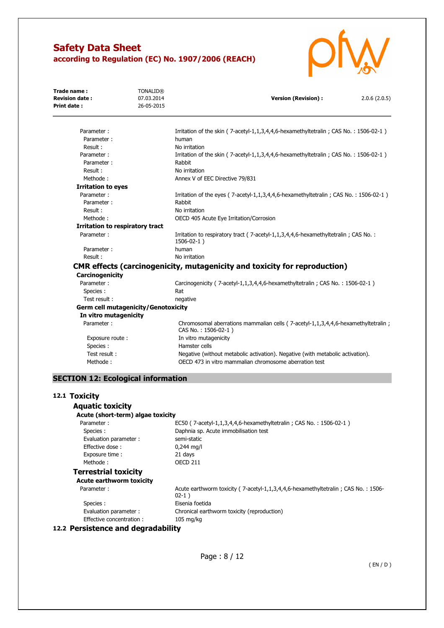

| Trade name:<br><b>Revision date:</b><br><b>Print date:</b> | <b>TONALID®</b><br>07.03.2014<br>26-05-2015 | <b>Version (Revision):</b><br>2.0.6(2.0.5)                                                               |
|------------------------------------------------------------|---------------------------------------------|----------------------------------------------------------------------------------------------------------|
| Parameter:                                                 |                                             |                                                                                                          |
| Parameter:                                                 |                                             | Irritation of the skin (7-acetyl-1,1,3,4,4,6-hexamethyltetralin; CAS No.: 1506-02-1)<br>human            |
| Result:                                                    |                                             | No irritation                                                                                            |
| Parameter:                                                 |                                             | Irritation of the skin (7-acetyl-1,1,3,4,4,6-hexamethyltetralin; CAS No.: 1506-02-1)                     |
| Parameter:                                                 |                                             | Rabbit                                                                                                   |
| Result:                                                    |                                             | No irritation                                                                                            |
| Methode:                                                   |                                             | Annex V of EEC Directive 79/831                                                                          |
| <b>Irritation to eyes</b>                                  |                                             |                                                                                                          |
| Parameter:                                                 |                                             | Irritation of the eyes ( $7$ -acetyl-1,1,3,4,4,6-hexamethyltetralin; CAS No.: 1506-02-1)                 |
| Parameter:                                                 |                                             | Rabbit                                                                                                   |
| Result:                                                    |                                             | No irritation                                                                                            |
| Methode:                                                   |                                             | OECD 405 Acute Eye Irritation/Corrosion                                                                  |
|                                                            |                                             |                                                                                                          |
| Irritation to respiratory tract                            |                                             |                                                                                                          |
| Parameter:                                                 |                                             | Irritation to respiratory tract (7-acetyl-1,1,3,4,4,6-hexamethyltetralin; CAS No.:<br>$1506 - 02 - 1)$   |
| Parameter:                                                 |                                             | human                                                                                                    |
| Result:                                                    |                                             | No irritation                                                                                            |
|                                                            |                                             | <b>CMR effects (carcinogenicity, mutagenicity and toxicity for reproduction)</b>                         |
| Carcinogenicity                                            |                                             |                                                                                                          |
| Parameter:                                                 |                                             | Carcinogenicity (7-acetyl-1,1,3,4,4,6-hexamethyltetralin; CAS No.: 1506-02-1)                            |
| Species :                                                  |                                             | Rat                                                                                                      |
| Test result:                                               |                                             | negative                                                                                                 |
| <b>Germ cell mutagenicity/Genotoxicity</b>                 |                                             |                                                                                                          |
| In vitro mutagenicity                                      |                                             |                                                                                                          |
| Parameter:                                                 |                                             | Chromosomal aberrations mammalian cells (7-acetyl-1,1,3,4,4,6-hexamethyltetralin;<br>CAS No.: 1506-02-1) |
| Exposure route:                                            |                                             | In vitro mutagenicity                                                                                    |
| Species :                                                  |                                             | Hamster cells                                                                                            |
| Test result:                                               |                                             | Negative (without metabolic activation). Negative (with metabolic activation).                           |
| Methode:                                                   |                                             | OECD 473 in vitro mammalian chromosome aberration test                                                   |
| <b>SECTION 12: Ecological information</b>                  |                                             |                                                                                                          |
| 12.1 Toxicity                                              |                                             |                                                                                                          |
| <b>Aquatic toxicity</b>                                    |                                             |                                                                                                          |
| Acute (short-term) algae toxicity                          |                                             |                                                                                                          |
| Parameter:                                                 |                                             | EC50 (7-acetyl-1,1,3,4,4,6-hexamethyltetralin; CAS No.: 1506-02-1)                                       |
| Species:                                                   |                                             | Daphnia sp. Acute immobilisation test                                                                    |
| Evaluation parameter :                                     |                                             | semi-static                                                                                              |
| Effective dose:                                            |                                             | $0,244$ mg/l                                                                                             |
| Exposure time :                                            |                                             | 21 days                                                                                                  |
| Methode:                                                   |                                             | <b>OECD 211</b>                                                                                          |
| <b>Terrestrial toxicity</b>                                |                                             |                                                                                                          |
| <b>Acute earthworm toxicity</b>                            |                                             |                                                                                                          |
| Parameter:                                                 |                                             | Acute earthworm toxicity (7-acetyl-1,1,3,4,4,6-hexamethyltetralin; CAS No.: 1506-<br>$02-1)$             |
| Species:                                                   |                                             | Eisenia foetida                                                                                          |
| Evaluation parameter :<br>Effective concentration:         |                                             | Chronical earthworm toxicity (reproduction)<br>105 mg/kg                                                 |
| 12.2 Persistence and degradability                         |                                             |                                                                                                          |
|                                                            |                                             |                                                                                                          |
|                                                            |                                             | $P_{200} \cdot 8/12$                                                                                     |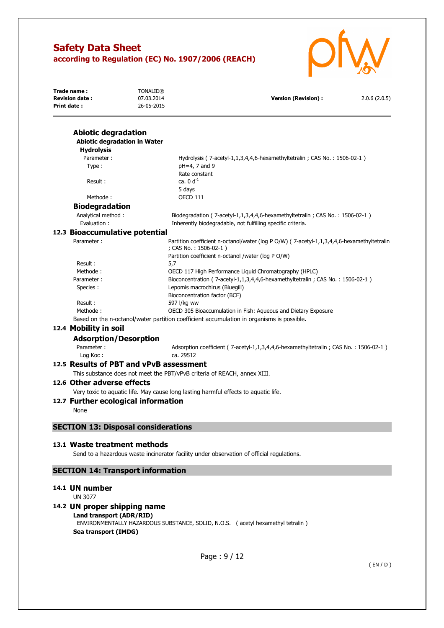

| Trade name:<br><b>Revision date:</b><br><b>Print date:</b>        | <b>TONALID®</b><br>07.03.2014<br>26-05-2015 | <b>Version (Revision):</b>                                                                                                                                                | 2.0.6(2.0.5) |
|-------------------------------------------------------------------|---------------------------------------------|---------------------------------------------------------------------------------------------------------------------------------------------------------------------------|--------------|
|                                                                   |                                             |                                                                                                                                                                           |              |
| <b>Abiotic degradation</b><br><b>Abiotic degradation in Water</b> |                                             |                                                                                                                                                                           |              |
| <b>Hydrolysis</b>                                                 |                                             |                                                                                                                                                                           |              |
| Parameter:                                                        |                                             | Hydrolysis (7-acetyl-1,1,3,4,4,6-hexamethyltetralin; CAS No.: 1506-02-1)                                                                                                  |              |
| Type:                                                             |                                             | pH=4, 7 and 9                                                                                                                                                             |              |
|                                                                   |                                             | Rate constant                                                                                                                                                             |              |
| Result:                                                           |                                             | ca. $0 d^{-1}$                                                                                                                                                            |              |
|                                                                   |                                             | 5 days                                                                                                                                                                    |              |
| Methode:                                                          |                                             | <b>OECD 111</b>                                                                                                                                                           |              |
| <b>Biodegradation</b>                                             |                                             |                                                                                                                                                                           |              |
| Analytical method:<br>Evaluation :                                |                                             | Biodegradation (7-acetyl-1,1,3,4,4,6-hexamethyltetralin; CAS No.: 1506-02-1)<br>Inherently biodegradable, not fulfilling specific criteria.                               |              |
| 12.3 Bioaccumulative potential                                    |                                             |                                                                                                                                                                           |              |
| Parameter:                                                        |                                             | Partition coefficient n-octanol/water (log P O/W) (7-acetyl-1,1,3,4,4,6-hexamethyltetralin<br>; CAS No.: 1506-02-1)<br>Partition coefficient n-octanol /water (log P O/W) |              |
| Result:                                                           |                                             | 5,7                                                                                                                                                                       |              |
| Methode:                                                          |                                             | OECD 117 High Performance Liquid Chromatography (HPLC)                                                                                                                    |              |
| Parameter:                                                        |                                             | Bioconcentration (7-acetyl-1,1,3,4,4,6-hexamethyltetralin; CAS No.: 1506-02-1)                                                                                            |              |
| Species:                                                          |                                             | Lepomis macrochirus (Bluegill)                                                                                                                                            |              |
|                                                                   |                                             | Bioconcentration factor (BCF)                                                                                                                                             |              |
| Result:                                                           |                                             | 597 l/kg ww                                                                                                                                                               |              |
| Methode:                                                          |                                             | OECD 305 Bioaccumulation in Fish: Aqueous and Dietary Exposure                                                                                                            |              |
|                                                                   |                                             | Based on the n-octanol/water partition coefficient accumulation in organisms is possible.                                                                                 |              |
| 12.4 Mobility in soil                                             |                                             |                                                                                                                                                                           |              |
| <b>Adsorption/Desorption</b>                                      |                                             |                                                                                                                                                                           |              |
| Parameter:<br>Log Koc:                                            |                                             | Adsorption coefficient (7-acetyl-1,1,3,4,4,6-hexamethyltetralin; CAS No.: 1506-02-1)<br>ca. 29512                                                                         |              |
| 12.5 Results of PBT and vPvB assessment                           |                                             |                                                                                                                                                                           |              |
|                                                                   |                                             |                                                                                                                                                                           |              |
| 12.6 Other adverse effects                                        |                                             | This substance does not meet the PBT/vPvB criteria of REACH, annex XIII.                                                                                                  |              |
|                                                                   |                                             |                                                                                                                                                                           |              |
|                                                                   |                                             | Very toxic to aquatic life. May cause long lasting harmful effects to aquatic life.                                                                                       |              |
| 12.7 Further ecological information                               |                                             |                                                                                                                                                                           |              |
| None                                                              |                                             |                                                                                                                                                                           |              |
| <b>SECTION 13: Disposal considerations</b>                        |                                             |                                                                                                                                                                           |              |
| 13.1 Waste treatment methods                                      |                                             |                                                                                                                                                                           |              |
|                                                                   |                                             | Send to a hazardous waste incinerator facility under observation of official regulations.                                                                                 |              |
| <b>SECTION 14: Transport information</b>                          |                                             |                                                                                                                                                                           |              |
| 14.1 UN number                                                    |                                             |                                                                                                                                                                           |              |
| <b>UN 3077</b>                                                    |                                             |                                                                                                                                                                           |              |
| 14.2 UN proper shipping name                                      |                                             |                                                                                                                                                                           |              |
| Land transport (ADR/RID)<br>Sea transport (IMDG)                  |                                             | ENVIRONMENTALLY HAZARDOUS SUBSTANCE, SOLID, N.O.S. (acetyl hexamethyl tetralin)                                                                                           |              |
|                                                                   |                                             |                                                                                                                                                                           |              |
|                                                                   |                                             |                                                                                                                                                                           |              |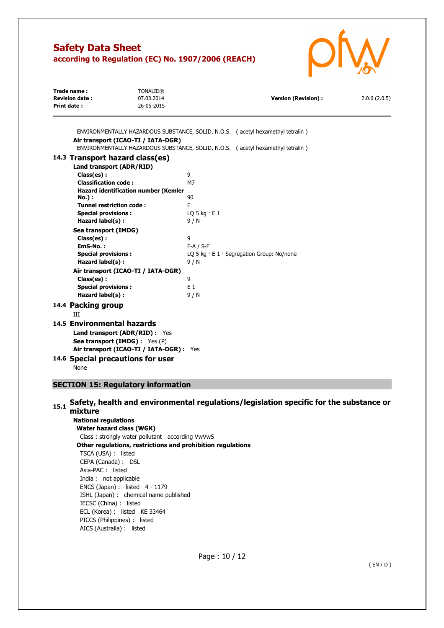

| Trade name:<br><b>Revision date:</b><br>Print date: | <b>TONALID®</b><br>07.03.2014<br>26-05-2015 | Version (Revision) : | 2.0.6(2.0.5) |
|-----------------------------------------------------|---------------------------------------------|----------------------|--------------|
|                                                     |                                             |                      |              |

ENVIRONMENTALLY HAZARDOUS SUBSTANCE, SOLID, N.O.S. ( acetyl hexamethyl tetralin )

| Air transport (ICAO-TI / IATA-DGR)                    | ENVIRONMENTALLY HAZARDOUS SUBSTANCE, SOLID, N.O.S. (acetyl hexamethyl tetralin) |
|-------------------------------------------------------|---------------------------------------------------------------------------------|
| 14.3 Transport hazard class(es)                       |                                                                                 |
| Land transport (ADR/RID)                              |                                                                                 |
| Class(es):                                            | 9                                                                               |
| <b>Classification code:</b>                           | M7                                                                              |
| Hazard identification number (Kemler<br><b>No.</b> ): | 90                                                                              |
| <b>Tunnel restriction code:</b>                       | F                                                                               |
| <b>Special provisions:</b>                            | LQ 5 kg $\cdot$ E 1                                                             |
| Hazard label(s):                                      | 9/N                                                                             |
| Sea transport (IMDG)                                  |                                                                                 |
| Class(es):                                            | 9                                                                               |
| EmS-No.:                                              | $F-A / S-F$                                                                     |
| <b>Special provisions:</b>                            | LO 5 kg $\cdot$ E 1 $\cdot$ Segregation Group: No/none                          |
| Hazard label(s):                                      | 9/N                                                                             |
| Air transport (ICAO-TI / IATA-DGR)                    |                                                                                 |
| Class(es):                                            | 9                                                                               |
| <b>Special provisions:</b>                            | F <sub>1</sub>                                                                  |
| Hazard label(s):                                      | 9/N                                                                             |
| 14.4 Packing group                                    |                                                                                 |
| Ш                                                     |                                                                                 |
| 14.5 Environmental hazards                            |                                                                                 |
| <b>Land transport (ADR/RID):</b> Yes                  |                                                                                 |
| <b>Sea transport (IMDG):</b> Yes (P)                  |                                                                                 |
| Air transport (ICAO-TI / IATA-DGR) : Yes              |                                                                                 |
|                                                       |                                                                                 |

**14.6 Special precautions for user** 

```
None
```
## **SECTION 15: Regulatory information**

## **15.1 Safety, health and environmental regulations/legislation specific for the substance or mixture**

**National regulations Water hazard class (WGK)**  Class : strongly water pollutant according VwVwS **Other regulations, restrictions and prohibition regulations**  TSCA (USA) : listed CEPA (Canada) : DSL Asia-PAC : listed India : not applicable ENCS (Japan) : listed 4 - 1179 ISHL (Japan) : chemical name published IECSC (China) : listed ECL (Korea) : listed KE 33464 PICCS (Philippines) : listed AICS (Australia) : listed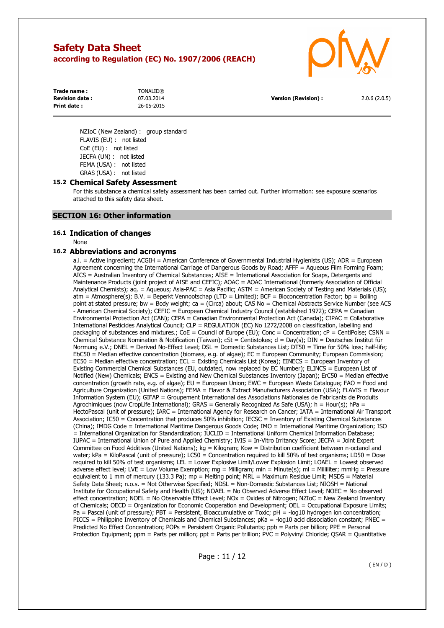

| Trade name :          | <b>TONALID®</b> |                      |              |
|-----------------------|-----------------|----------------------|--------------|
| <b>Revision date:</b> | 07.03.2014      | Version (Revision) : | 2.0.6(2.0.5) |
| Print date:           | 26-05-2015      |                      |              |

NZIoC (New Zealand) : group standard FLAVIS (EU) : not listed CoE (EU) : not listed JECFA (UN) : not listed FEMA (USA) : not listed GRAS (USA) : not listed

### **15.2 Chemical Safety Assessment**

For this substance a chemical safety assessment has been carried out. Further information: see exposure scenarios attached to this safety data sheet.

### **SECTION 16: Other information**

### **16.1 Indication of changes**

None

### **16.2 Abbreviations and acronyms**

a.i. = Active ingredient; ACGIH = American Conference of Governmental Industrial Hygienists (US); ADR = European Agreement concerning the International Carriage of Dangerous Goods by Road; AFFF = Aqueous Film Forming Foam; AICS = Australian Inventory of Chemical Substances; AISE = International Association for Soaps, Detergents and Maintenance Products (joint project of AISE and CEFIC); AOAC = AOAC International (formerly Association of Official Analytical Chemists); aq. = Aqueous; Asia-PAC = Asia Pacific; ASTM = American Society of Testing and Materials (US); atm = Atmosphere(s); B.V. = Beperkt Vennootschap (LTD = Limited); BCF = Bioconcentration Factor; bp = Boiling point at stated pressure; bw = Body weight; ca = (Circa) about; CAS No = Chemical Abstracts Service Number (see ACS - American Chemical Society); CEFIC = European Chemical Industry Council (established 1972); CEPA = Canadian Environmental Protection Act (CAN); CEPA = Canadian Environmental Protection Act (Canada); CIPAC = Collaborative International Pesticides Analytical Council; CLP = REGULATION (EC) No 1272/2008 on classification, labelling and packaging of substances and mixtures.;  $CoE =$  Council of Europe (EU); Conc = Concentration;  $cP =$  CentiPoise; CSNN = Chemical Substance Nomination & Notification (Taiwan); cSt = Centistokes; d = Day(s); DIN = Deutsches Institut für Normung e.V.; DNEL = Derived No-Effect Level; DSL = Domestic Substances List; DT50 = Time for 50% loss; half-life; EbC50 = Median effective concentration (biomass, e.g. of algae); EC = European Community; European Commission; EC50 = Median effective concentration; ECL = Existing Chemicals List (Korea); EINECS = European Inventory of Existing Commercial Chemical Substances (EU, outdated, now replaced by EC Number); ELINCS = European List of Notified (New) Chemicals; ENCS = Existing and New Chemical Substances Inventory (Japan); ErC50 = Median effective concentration (growth rate, e.g. of algae); EU = European Union; EWC = European Waste Catalogue; FAO = Food and Agriculture Organization (United Nations); FEMA = Flavor & Extract Manufacturers Association (USA); FLAVIS = Flavour Information System (EU); GIFAP = Groupement International des Associations Nationales de Fabricants de Produits Agrochimiques (now CropLife International); GRAS = Generally Recognized As Safe (USA);  $h =$  Hour(s); hPa = HectoPascal (unit of pressure); IARC = International Agency for Research on Cancer; IATA = International Air Transport Association; IC50 = Concentration that produces 50% inhibition; IECSC = Inventory of Existing Chemical Substances (China); IMDG Code = International Maritime Dangerous Goods Code; IMO = International Maritime Organization; ISO = International Organization for Standardization; IUCLID = International Uniform Chemical Information Database; IUPAC = International Union of Pure and Applied Chemistry; IVIS = In-Vitro Irritancy Score; JECFA = Joint Expert Committee on Food Additives (United Nations); kg = Kilogram; Kow = Distribution coefficient between n-octanol and water; kPa = KiloPascal (unit of pressure); LC50 = Concentration required to kill 50% of test organisms; LD50 = Dose required to kill 50% of test organisms; LEL = Lower Explosive Limit/Lower Explosion Limit; LOAEL = Lowest observed adverse effect level; LVE = Low Volume Exemption; mg = Milligram; min = Minute(s); ml = Milliliter; mmHg = Pressure equivalent to 1 mm of mercury (133.3 Pa); mp = Melting point; MRL = Maximum Residue Limit; MSDS = Material Safety Data Sheet; n.o.s. = Not Otherwise Specified; NDSL = Non-Domestic Substances List; NIOSH = National Institute for Occupational Safety and Health (US); NOAEL = No Observed Adverse Effect Level; NOEC = No observed effect concentration; NOEL = No Observable Effect Level; NOx = Oxides of Nitrogen; NZIoC = New Zealand Inventory of Chemicals; OECD = Organization for Economic Cooperation and Development; OEL = Occupational Exposure Limits; Pa = Pascal (unit of pressure); PBT = Persistent, Bioaccumulative or Toxic; pH = -log10 hydrogen ion concentration; PICCS = Philippine Inventory of Chemicals and Chemical Substances; pKa = -log10 acid dissociation constant; PNEC = Predicted No Effect Concentration; POPs = Persistent Organic Pollutants; ppb = Parts per billion; PPE = Personal Protection Equipment; ppm = Parts per million; ppt = Parts per trillion; PVC = Polyvinyl Chloride; QSAR = Quantitative